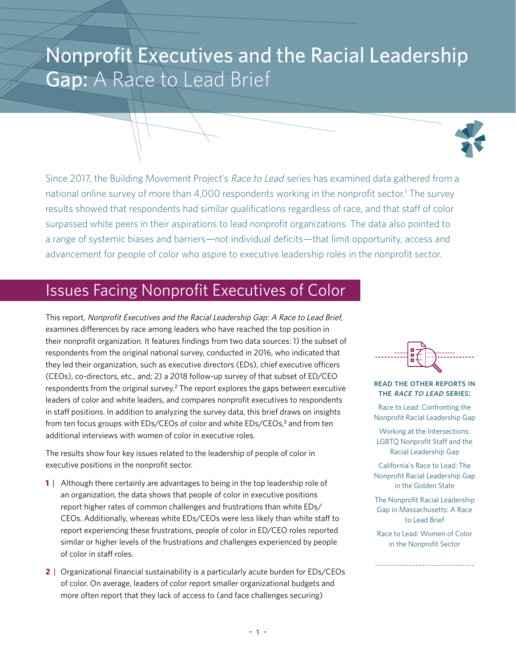# Nonprofit Executives and the Racial Leadership Gap: A Race to Lead Brief



Since 2017, the Building Movement Project's Race to Lead series has examined data gathered from a national online survey of more than 4,000 respondents working in the nonprofit sector.<sup>1</sup> The survey results showed that respondents had similar qualifications regardless of race, and that staff of color surpassed white peers in their aspirations to lead nonprofit organizations. The data also pointed to a range of systemic biases and barriers—not individual deficits—that limit opportunity, access and advancement for people of color who aspire to executive leadership roles in the nonprofit sector.

## Issues Facing Nonprofit Executives of Color

This report, Nonprofit Executives and the Racial Leadership Gap: A Race to Lead Brief, examines differences by race among leaders who have reached the top position in their nonprofit organization. It features findings from two data sources: 1) the subset of respondents from the original national survey, conducted in 2016, who indicated that they led their organization, such as executive directors (EDs), chief executive officers (CEOs), co-directors, etc., and; 2) a 2018 follow-up survey of that subset of ED/CEO respondents from the original survey.<sup>2</sup> The report explores the gaps between executive leaders of color and white leaders, and compares nonprofit executives to respondents in staff positions. In addition to analyzing the survey data, this brief draws on insights from ten focus groups with EDs/CEOs of color and white EDs/CEOs,<sup>3</sup> and from ten additional interviews with women of color in executive roles.

The results show four key issues related to the leadership of people of color in executive positions in the nonprofit sector.

- **1** | Although there certainly are advantages to being in the top leadership role of an organization, the data shows that people of color in executive positions report higher rates of common challenges and frustrations than white EDs/ CEOs. Additionally, whereas white EDs/CEOs were less likely than white staff to report experiencing these frustrations, people of color in ED/CEO roles reported similar or higher levels of the frustrations and challenges experienced by people of color in staff roles.
- **2** | Organizational financial sustainability is a particularly acute burden for EDs/CEOs of color. On average, leaders of color report smaller organizational budgets and more often report that they lack of access to (and face challenges securing)



#### read the other reports in THE RACE TO LEAD SERIES:

Race to Lead: Confronting the Nonprofit Racial Leadership Gap

Working at the Intersections: LGBTQ Nonprofit Staff and the Racial Leadership Gap

California's Race to Lead: The Nonprofit Racial Leadership Gap in the Golden State

The Nonprofit Racial Leadership Gap in Massachusetts: A Race to Lead Brief

Race to Lead: Women of Color in the Nonprofit Sector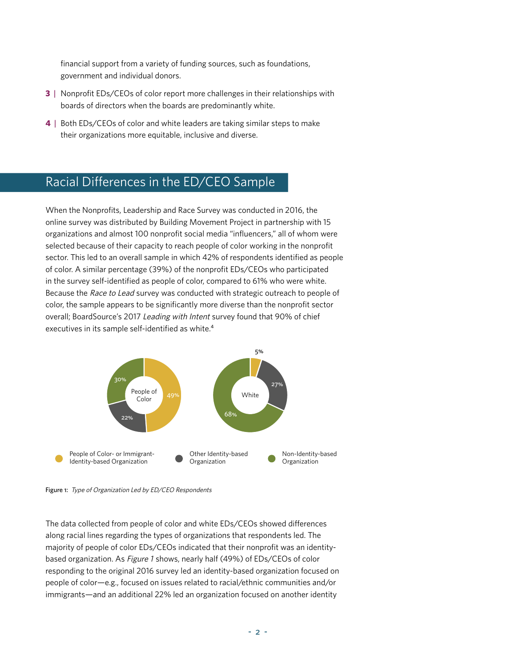financial support from a variety of funding sources, such as foundations, government and individual donors.

- **3** | Nonprofit EDs/CEOs of color report more challenges in their relationships with boards of directors when the boards are predominantly white.
- **4** | Both EDs/CEOs of color and white leaders are taking similar steps to make their organizations more equitable, inclusive and diverse.

### Racial Differences in the ED/CEO Sample

When the Nonprofits, Leadership and Race Survey was conducted in 2016, the online survey was distributed by Building Movement Project in partnership with 15 organizations and almost 100 nonprofit social media "influencers," all of whom were selected because of their capacity to reach people of color working in the nonprofit sector. This led to an overall sample in which 42% of respondents identified as people of color. A similar percentage (39%) of the nonprofit EDs/CEOs who participated in the survey self-identified as people of color, compared to 61% who were white. Because the Race to Lead survey was conducted with strategic outreach to people of color, the sample appears to be significantly more diverse than the nonprofit sector overall; BoardSource's 2017 Leading with Intent survey found that 90% of chief executives in its sample self-identified as white.<sup>4</sup>



Figure 1: Type of Organization Led by ED/CEO Respondents

The data collected from people of color and white EDs/CEOs showed differences along racial lines regarding the types of organizations that respondents led. The majority of people of color EDs/CEOs indicated that their nonprofit was an identitybased organization. As Figure 1 shows, nearly half (49%) of EDs/CEOs of color responding to the original 2016 survey led an identity-based organization focused on people of color—e.g., focused on issues related to racial/ethnic communities and/or immigrants—and an additional 22% led an organization focused on another identity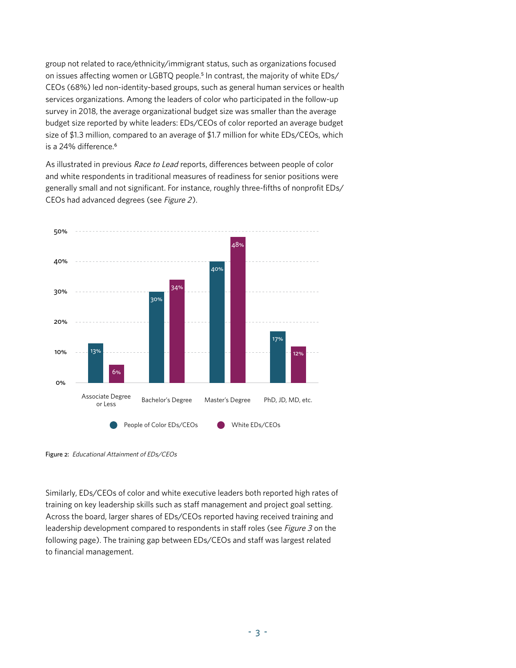group not related to race/ethnicity/immigrant status, such as organizations focused on issues affecting women or LGBTQ people.<sup>5</sup> In contrast, the majority of white EDs/ CEOs (68%) led non-identity-based groups, such as general human services or health services organizations. Among the leaders of color who participated in the follow-up survey in 2018, the average organizational budget size was smaller than the average budget size reported by white leaders: EDs/CEOs of color reported an average budget size of \$1.3 million, compared to an average of \$1.7 million for white EDs/CEOs, which is a 24% difference.<sup>6</sup>

As illustrated in previous Race to Lead reports, differences between people of color and white respondents in traditional measures of readiness for senior positions were generally small and not significant. For instance, roughly three-fifths of nonprofit EDs/ CEOs had advanced degrees (see Figure 2).



Figure 2: Educational Attainment of EDs/CEOs

Similarly, EDs/CEOs of color and white executive leaders both reported high rates of training on key leadership skills such as staff management and project goal setting. Across the board, larger shares of EDs/CEOs reported having received training and leadership development compared to respondents in staff roles (see Figure 3 on the following page). The training gap between EDs/CEOs and staff was largest related to financial management.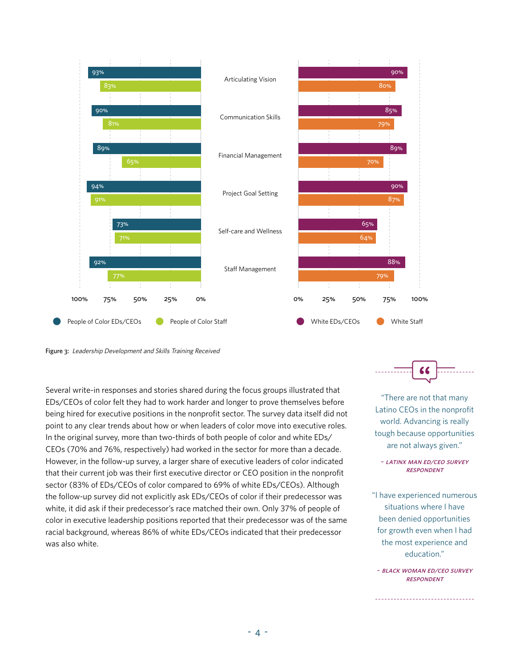

Figure 3: Leadership Development and Skills Training Received

Several write-in responses and stories shared during the focus groups illustrated that EDs/CEOs of color felt they had to work harder and longer to prove themselves before being hired for executive positions in the nonprofit sector. The survey data itself did not point to any clear trends about how or when leaders of color move into executive roles. In the original survey, more than two-thirds of both people of color and white EDs/ CEOs (70% and 76%, respectively) had worked in the sector for more than a decade. However, in the follow-up survey, a larger share of executive leaders of color indicated that their current job was their first executive director or CEO position in the nonprofit sector (83% of EDs/CEOs of color compared to 69% of white EDs/CEOs). Although the follow-up survey did not explicitly ask EDs/CEOs of color if their predecessor was white, it did ask if their predecessor's race matched their own. Only 37% of people of color in executive leadership positions reported that their predecessor was of the same racial background, whereas 86% of white EDs/CEOs indicated that their predecessor was also white.



"There are not that many Latino CEOs in the nonprofit world. Advancing is really tough because opportunities are not always given."

#### ~ latinx man ed/ceo survey **RESPONDENT**

"I have experienced numerous situations where I have been denied opportunities for growth even when I had the most experience and education."

~ black woman ed/ceo survey **RESPONDENT** 

--------------------------------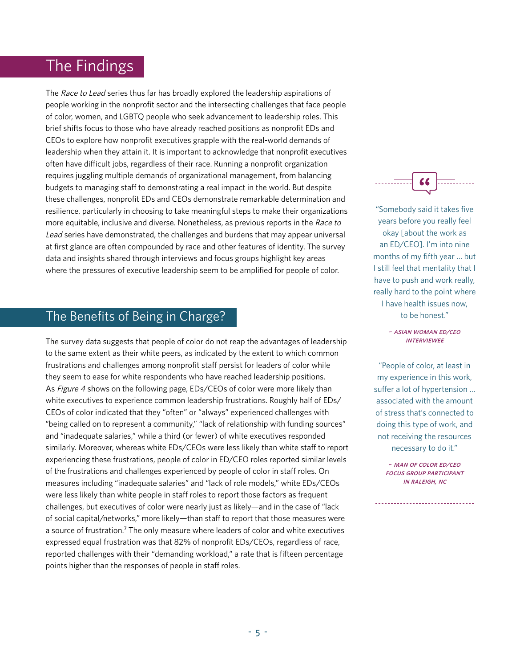## The Findings

The Race to Lead series thus far has broadly explored the leadership aspirations of people working in the nonprofit sector and the intersecting challenges that face people of color, women, and LGBTQ people who seek advancement to leadership roles. This brief shifts focus to those who have already reached positions as nonprofit EDs and CEOs to explore how nonprofit executives grapple with the real-world demands of leadership when they attain it. It is important to acknowledge that nonprofit executives often have difficult jobs, regardless of their race. Running a nonprofit organization requires juggling multiple demands of organizational management, from balancing budgets to managing staff to demonstrating a real impact in the world. But despite these challenges, nonprofit EDs and CEOs demonstrate remarkable determination and resilience, particularly in choosing to take meaningful steps to make their organizations more equitable, inclusive and diverse. Nonetheless, as previous reports in the Race to Lead series have demonstrated, the challenges and burdens that may appear universal at first glance are often compounded by race and other features of identity. The survey data and insights shared through interviews and focus groups highlight key areas where the pressures of executive leadership seem to be amplified for people of color.

### The Benefits of Being in Charge?

The survey data suggests that people of color do not reap the advantages of leadership to the same extent as their white peers, as indicated by the extent to which common frustrations and challenges among nonprofit staff persist for leaders of color while they seem to ease for white respondents who have reached leadership positions. As Figure 4 shows on the following page, EDs/CEOs of color were more likely than white executives to experience common leadership frustrations. Roughly half of EDs/ CEOs of color indicated that they "often" or "always" experienced challenges with "being called on to represent a community," "lack of relationship with funding sources" and "inadequate salaries," while a third (or fewer) of white executives responded similarly. Moreover, whereas white EDs/CEOs were less likely than white staff to report experiencing these frustrations, people of color in ED/CEO roles reported similar levels of the frustrations and challenges experienced by people of color in staff roles. On measures including "inadequate salaries" and "lack of role models," white EDs/CEOs were less likely than white people in staff roles to report those factors as frequent challenges, but executives of color were nearly just as likely—and in the case of "lack of social capital/networks," more likely—than staff to report that those measures were a source of frustration.<sup>7</sup> The only measure where leaders of color and white executives expressed equal frustration was that 82% of nonprofit EDs/CEOs, regardless of race, reported challenges with their "demanding workload," a rate that is fifteen percentage points higher than the responses of people in staff roles.



"Somebody said it takes five years before you really feel okay [about the work as an ED/CEO]. I'm into nine months of my fifth year … but I still feel that mentality that I have to push and work really, really hard to the point where I have health issues now, to be honest."

> ~ asian woman ed/ceo **INTERVIEWEE**

"People of color, at least in my experience in this work, suffer a lot of hypertension … associated with the amount of stress that's connected to doing this type of work, and not receiving the resources necessary to do it."

> ~ man of color ed/ceo focus group participant in raleigh, nc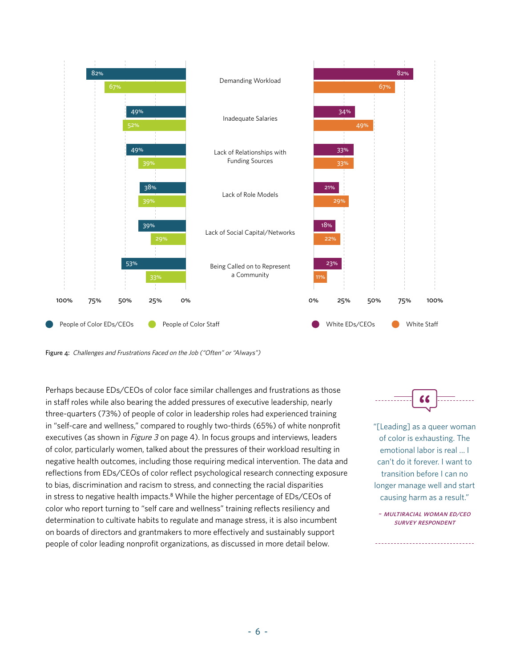

Figure 4: Challenges and Frustrations Faced on the Job ("Often" or "Always")

Perhaps because EDs/CEOs of color face similar challenges and frustrations as those in staff roles while also bearing the added pressures of executive leadership, nearly three-quarters (73%) of people of color in leadership roles had experienced training in "self-care and wellness," compared to roughly two-thirds (65%) of white nonprofit executives (as shown in *Figure 3* on page 4). In focus groups and interviews, leaders of color, particularly women, talked about the pressures of their workload resulting in negative health outcomes, including those requiring medical intervention. The data and reflections from EDs/CEOs of color reflect psychological research connecting exposure to bias, discrimination and racism to stress, and connecting the racial disparities in stress to negative health impacts.<sup>8</sup> While the higher percentage of EDs/CEOs of color who report turning to "self care and wellness" training reflects resiliency and determination to cultivate habits to regulate and manage stress, it is also incumbent on boards of directors and grantmakers to more effectively and sustainably support people of color leading nonprofit organizations, as discussed in more detail below.



"[Leading] as a queer woman of color is exhausting. The emotional labor is real … I can't do it forever. I want to transition before I can no longer manage well and start causing harm as a result."

~ multiracial woman ed/ceo survey respondent

------------------------------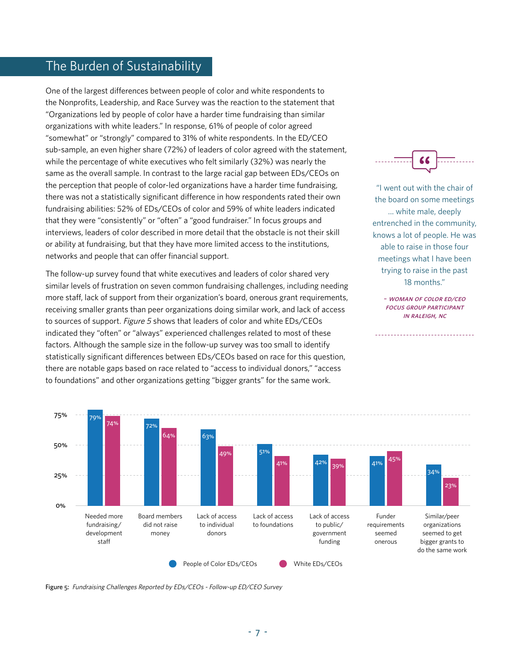### The Burden of Sustainability

One of the largest differences between people of color and white respondents to the Nonprofits, Leadership, and Race Survey was the reaction to the statement that "Organizations led by people of color have a harder time fundraising than similar organizations with white leaders." In response, 61% of people of color agreed "somewhat" or "strongly" compared to 31% of white respondents. In the ED/CEO sub-sample, an even higher share (72%) of leaders of color agreed with the statement, while the percentage of white executives who felt similarly (32%) was nearly the same as the overall sample. In contrast to the large racial gap between EDs/CEOs on the perception that people of color-led organizations have a harder time fundraising, there was not a statistically significant difference in how respondents rated their own fundraising abilities: 52% of EDs/CEOs of color and 59% of white leaders indicated that they were "consistently" or "often" a "good fundraiser." In focus groups and interviews, leaders of color described in more detail that the obstacle is not their skill or ability at fundraising, but that they have more limited access to the institutions, networks and people that can offer financial support.

The follow-up survey found that white executives and leaders of color shared very similar levels of frustration on seven common fundraising challenges, including needing more staff, lack of support from their organization's board, onerous grant requirements, receiving smaller grants than peer organizations doing similar work, and lack of access to sources of support. Figure 5 shows that leaders of color and white EDs/CEOs indicated they "often" or "always" experienced challenges related to most of these factors. Although the sample size in the follow-up survey was too small to identify statistically significant differences between EDs/CEOs based on race for this question, there are notable gaps based on race related to "access to individual donors," "access to foundations" and other organizations getting "bigger grants" for the same work.



"I went out with the chair of the board on some meetings … white male, deeply entrenched in the community, knows a lot of people. He was able to raise in those four meetings what I have been trying to raise in the past 18 months."

> ~ woman of color ed/ceo focus group participant in raleigh, nc

> > ------------------------



Figure 5: Fundraising Challenges Reported by EDs/CEOs - Follow-up ED/CEO Survey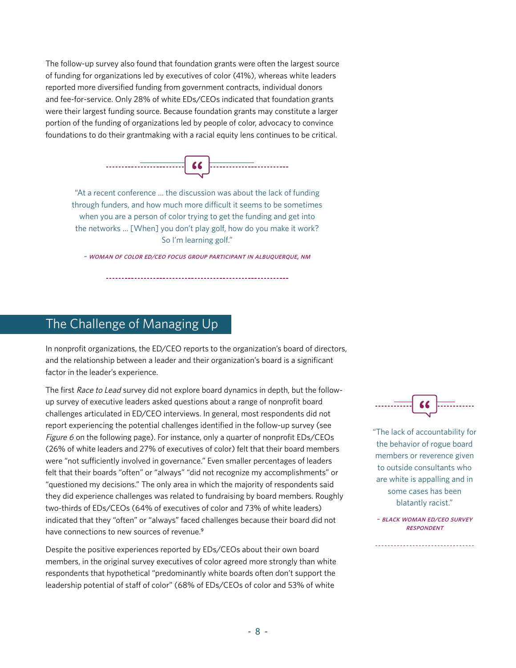The follow-up survey also found that foundation grants were often the largest source of funding for organizations led by executives of color (41%), whereas white leaders reported more diversified funding from government contracts, individual donors and fee-for-service. Only 28% of white EDs/CEOs indicated that foundation grants were their largest funding source. Because foundation grants may constitute a larger portion of the funding of organizations led by people of color, advocacy to convince foundations to do their grantmaking with a racial equity lens continues to be critical.



"At a recent conference … the discussion was about the lack of funding through funders, and how much more difficult it seems to be sometimes when you are a person of color trying to get the funding and get into the networks … [When] you don't play golf, how do you make it work? So I'm learning golf."

~ woman of color ed/ceo focus group participant in albuquerque, nm

### The Challenge of Managing Up

In nonprofit organizations, the ED/CEO reports to the organization's board of directors, and the relationship between a leader and their organization's board is a significant factor in the leader's experience.

The first Race to Lead survey did not explore board dynamics in depth, but the followup survey of executive leaders asked questions about a range of nonprofit board challenges articulated in ED/CEO interviews. In general, most respondents did not report experiencing the potential challenges identified in the follow-up survey (see Figure 6 on the following page). For instance, only a quarter of nonprofit EDs/CEOs (26% of white leaders and 27% of executives of color) felt that their board members were "not sufficiently involved in governance." Even smaller percentages of leaders felt that their boards "often" or "always" "did not recognize my accomplishments" or "questioned my decisions." The only area in which the majority of respondents said they did experience challenges was related to fundraising by board members. Roughly two-thirds of EDs/CEOs (64% of executives of color and 73% of white leaders) indicated that they "often" or "always" faced challenges because their board did not have connections to new sources of revenue.<sup>9</sup>

Despite the positive experiences reported by EDs/CEOs about their own board members, in the original survey executives of color agreed more strongly than white respondents that hypothetical "predominantly white boards often don't support the leadership potential of staff of color" (68% of EDs/CEOs of color and 53% of white



"The lack of accountability for the behavior of rogue board members or reverence given to outside consultants who are white is appalling and in some cases has been blatantly racist."

~ black woman ed/ceo survey **RESPONDENT**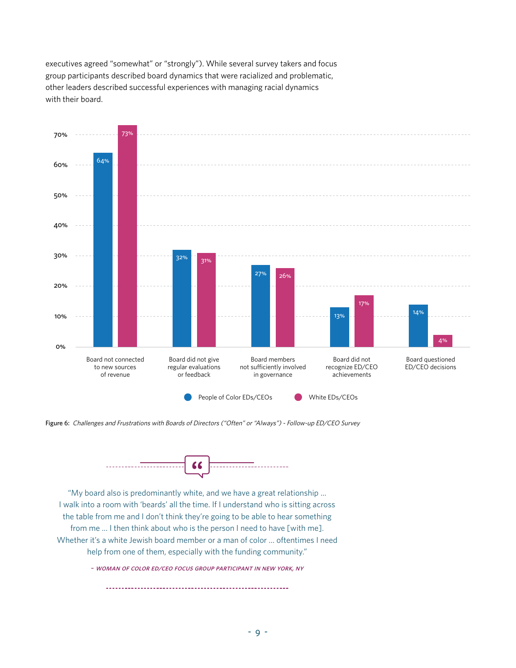executives agreed "somewhat" or "strongly"). While several survey takers and focus group participants described board dynamics that were racialized and problematic, other leaders described successful experiences with managing racial dynamics with their board.



Figure 6: Challenges and Frustrations with Boards of Directors ("Often" or "Always") - Follow-up ED/CEO Survey



"My board also is predominantly white, and we have a great relationship … I walk into a room with 'beards' all the time. If I understand who is sitting across the table from me and I don't think they're going to be able to hear something from me … I then think about who is the person I need to have [with me]. Whether it's a white Jewish board member or a man of color … oftentimes I need help from one of them, especially with the funding community."

~ woman of color ed/ceo focus group participant in new york, ny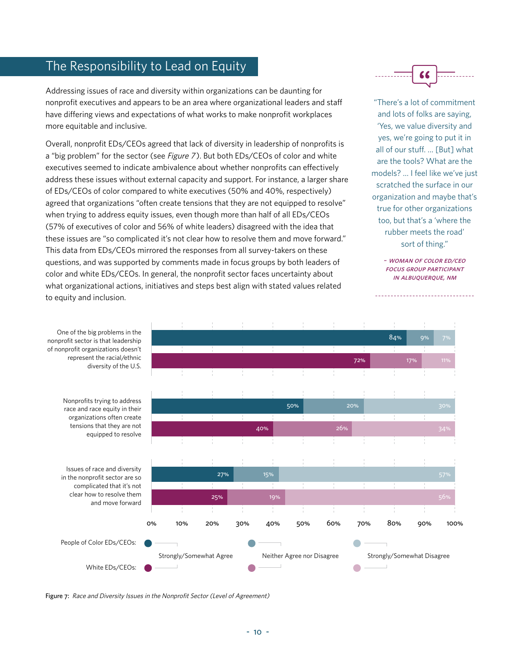### The Responsibility to Lead on Equity

Addressing issues of race and diversity within organizations can be daunting for nonprofit executives and appears to be an area where organizational leaders and staff have differing views and expectations of what works to make nonprofit workplaces more equitable and inclusive.

Overall, nonprofit EDs/CEOs agreed that lack of diversity in leadership of nonprofits is a "big problem" for the sector (see Figure 7). But both EDs/CEOs of color and white executives seemed to indicate ambivalence about whether nonprofits can effectively address these issues without external capacity and support. For instance, a larger share of EDs/CEOs of color compared to white executives (50% and 40%, respectively) agreed that organizations "often create tensions that they are not equipped to resolve" when trying to address equity issues, even though more than half of all EDs/CEOs (57% of executives of color and 56% of white leaders) disagreed with the idea that these issues are "so complicated it's not clear how to resolve them and move forward." This data from EDs/CEOs mirrored the responses from all survey-takers on these questions, and was supported by comments made in focus groups by both leaders of color and white EDs/CEOs. In general, the nonprofit sector faces uncertainty about what organizational actions, initiatives and steps best align with stated values related to equity and inclusion.



"There's a lot of commitment and lots of folks are saying, 'Yes, we value diversity and yes, we're going to put it in all of our stuff. … [But] what are the tools? What are the models? … I feel like we've just scratched the surface in our organization and maybe that's true for other organizations too, but that's a 'where the rubber meets the road' sort of thing."

> ~ woman of color ed/ceo focus group participant **IN ALBUOUEROUE, NM**

\_\_\_\_\_\_\_\_\_\_\_\_\_\_\_\_\_\_\_\_\_\_\_\_\_\_\_\_\_\_\_\_\_\_\_



Figure 7: Race and Diversity Issues in the Nonprofit Sector (Level of Agreement)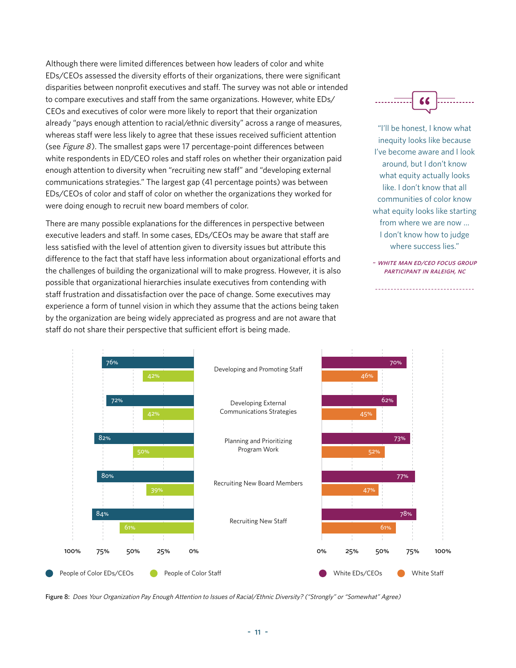Although there were limited differences between how leaders of color and white EDs/CEOs assessed the diversity efforts of their organizations, there were significant disparities between nonprofit executives and staff. The survey was not able or intended to compare executives and staff from the same organizations. However, white EDs/ CEOs and executives of color were more likely to report that their organization already "pays enough attention to racial/ethnic diversity" across a range of measures, whereas staff were less likely to agree that these issues received sufficient attention (see  $Figure 8$ ). The smallest gaps were 17 percentage-point differences between white respondents in ED/CEO roles and staff roles on whether their organization paid enough attention to diversity when "recruiting new staff" and "developing external communications strategies." The largest gap (41 percentage points) was between EDs/CEOs of color and staff of color on whether the organizations they worked for were doing enough to recruit new board members of color.

There are many possible explanations for the differences in perspective between executive leaders and staff. In some cases, EDs/CEOs may be aware that staff are less satisfied with the level of attention given to diversity issues but attribute this difference to the fact that staff have less information about organizational efforts and the challenges of building the organizational will to make progress. However, it is also possible that organizational hierarchies insulate executives from contending with staff frustration and dissatisfaction over the pace of change. Some executives may experience a form of tunnel vision in which they assume that the actions being taken by the organization are being widely appreciated as progress and are not aware that staff do not share their perspective that sufficient effort is being made.



"I'll be honest, I know what inequity looks like because I've become aware and I look around, but I don't know what equity actually looks like. I don't know that all communities of color know what equity looks like starting from where we are now … I don't know how to judge where success lies."

~ white man ed/ceo focus group participant in raleigh, nc

------------------------------



Figure 8: Does Your Organization Pay Enough Attention to Issues of Racial/Ethnic Diversity? ("Strongly" or "Somewhat" Agree)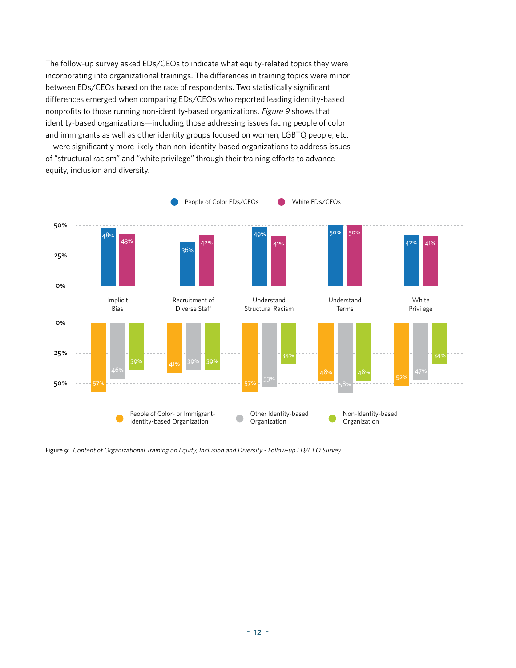The follow-up survey asked EDs/CEOs to indicate what equity-related topics they were incorporating into organizational trainings. The differences in training topics were minor between EDs/CEOs based on the race of respondents. Two statistically significant differences emerged when comparing EDs/CEOs who reported leading identity-based nonprofits to those running non-identity-based organizations. Figure 9 shows that identity-based organizations—including those addressing issues facing people of color and immigrants as well as other identity groups focused on women, LGBTQ people, etc. —were significantly more likely than non-identity-based organizations to address issues of "structural racism" and "white privilege" through their training efforts to advance equity, inclusion and diversity.



Figure 9: Content of Organizational Training on Equity, Inclusion and Diversity - Follow-up ED/CEO Survey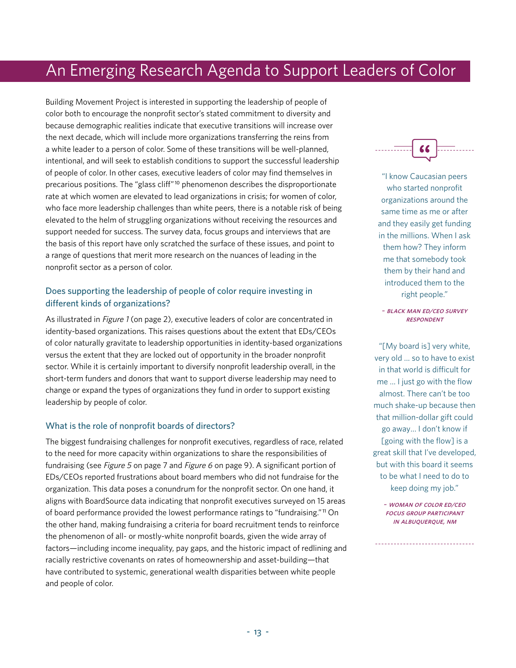## An Emerging Research Agenda to Support Leaders of Color

Building Movement Project is interested in supporting the leadership of people of color both to encourage the nonprofit sector's stated commitment to diversity and because demographic realities indicate that executive transitions will increase over the next decade, which will include more organizations transferring the reins from a white leader to a person of color. Some of these transitions will be well-planned, intentional, and will seek to establish conditions to support the successful leadership of people of color. In other cases, executive leaders of color may find themselves in precarious positions. The "glass cliff"10 phenomenon describes the disproportionate rate at which women are elevated to lead organizations in crisis; for women of color, who face more leadership challenges than white peers, there is a notable risk of being elevated to the helm of struggling organizations without receiving the resources and support needed for success. The survey data, focus groups and interviews that are the basis of this report have only scratched the surface of these issues, and point to a range of questions that merit more research on the nuances of leading in the nonprofit sector as a person of color.

#### Does supporting the leadership of people of color require investing in different kinds of organizations?

As illustrated in Figure 1 (on page 2), executive leaders of color are concentrated in identity-based organizations. This raises questions about the extent that EDs/CEOs of color naturally gravitate to leadership opportunities in identity-based organizations versus the extent that they are locked out of opportunity in the broader nonprofit sector. While it is certainly important to diversify nonprofit leadership overall, in the short-term funders and donors that want to support diverse leadership may need to change or expand the types of organizations they fund in order to support existing leadership by people of color.

#### What is the role of nonprofit boards of directors?

The biggest fundraising challenges for nonprofit executives, regardless of race, related to the need for more capacity within organizations to share the responsibilities of fundraising (see Figure 5 on page 7 and Figure 6 on page 9). A significant portion of EDs/CEOs reported frustrations about board members who did not fundraise for the organization. This data poses a conundrum for the nonprofit sector. On one hand, it aligns with BoardSource data indicating that nonprofit executives surveyed on 15 areas of board performance provided the lowest performance ratings to "fundraising."11 On the other hand, making fundraising a criteria for board recruitment tends to reinforce the phenomenon of all- or mostly-white nonprofit boards, given the wide array of factors—including income inequality, pay gaps, and the historic impact of redlining and racially restrictive covenants on rates of homeownership and asset-building—that have contributed to systemic, generational wealth disparities between white people and people of color.



"I know Caucasian peers who started nonprofit organizations around the same time as me or after and they easily get funding in the millions. When I ask them how? They inform me that somebody took them by their hand and introduced them to the right people."

#### ~ black man ed/ceo survey **RESPONDENT**

"[My board is] very white, very old … so to have to exist in that world is difficult for me … I just go with the flow almost. There can't be too much shake-up because then that million-dollar gift could go away… I don't know if [going with the flow] is a great skill that I've developed, but with this board it seems to be what I need to do to keep doing my job."

~ woman of color ed/ceo focus group participant **IN ALBUOUEROUE, NM**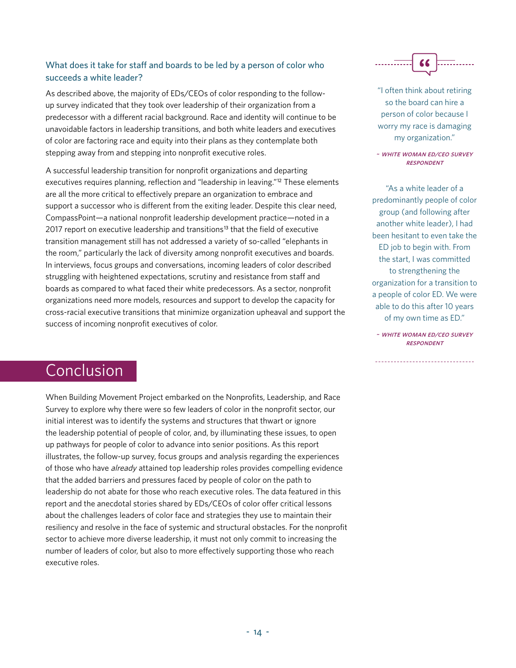#### What does it take for staff and boards to be led by a person of color who succeeds a white leader?

As described above, the majority of EDs/CEOs of color responding to the followup survey indicated that they took over leadership of their organization from a predecessor with a different racial background. Race and identity will continue to be unavoidable factors in leadership transitions, and both white leaders and executives of color are factoring race and equity into their plans as they contemplate both stepping away from and stepping into nonprofit executive roles.

A successful leadership transition for nonprofit organizations and departing executives requires planning, reflection and "leadership in leaving."<sup>12</sup> These elements are all the more critical to effectively prepare an organization to embrace and support a successor who is different from the exiting leader. Despite this clear need, CompassPoint—a national nonprofit leadership development practice—noted in a 2017 report on executive leadership and transitions<sup>13</sup> that the field of executive transition management still has not addressed a variety of so-called "elephants in the room," particularly the lack of diversity among nonprofit executives and boards. In interviews, focus groups and conversations, incoming leaders of color described struggling with heightened expectations, scrutiny and resistance from staff and boards as compared to what faced their white predecessors. As a sector, nonprofit organizations need more models, resources and support to develop the capacity for cross-racial executive transitions that minimize organization upheaval and support the success of incoming nonprofit executives of color.

"I often think about retiring so the board can hire a person of color because I worry my race is damaging my organization."

~ white woman ed/ceo survey **RESPONDENT** 

"As a white leader of a predominantly people of color group (and following after another white leader), I had been hesitant to even take the ED job to begin with. From the start, I was committed to strengthening the organization for a transition to a people of color ED. We were able to do this after 10 years of my own time as ED."

~ white woman ed/ceo survey **RESPONDENT** 

\_\_\_\_\_\_\_\_\_\_\_\_\_\_\_\_\_\_\_\_\_\_\_\_\_\_\_\_\_\_\_\_\_\_\_

## Conclusion

When Building Movement Project embarked on the Nonprofits, Leadership, and Race Survey to explore why there were so few leaders of color in the nonprofit sector, our initial interest was to identify the systems and structures that thwart or ignore the leadership potential of people of color, and, by illuminating these issues, to open up pathways for people of color to advance into senior positions. As this report illustrates, the follow-up survey, focus groups and analysis regarding the experiences of those who have already attained top leadership roles provides compelling evidence that the added barriers and pressures faced by people of color on the path to leadership do not abate for those who reach executive roles. The data featured in this report and the anecdotal stories shared by EDs/CEOs of color offer critical lessons about the challenges leaders of color face and strategies they use to maintain their resiliency and resolve in the face of systemic and structural obstacles. For the nonprofit sector to achieve more diverse leadership, it must not only commit to increasing the number of leaders of color, but also to more effectively supporting those who reach executive roles.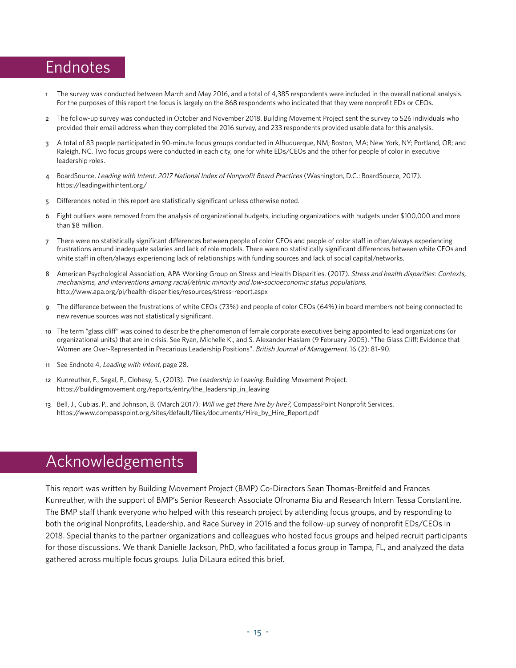## Endnotes

- 1 The survey was conducted between March and May 2016, and a total of 4,385 respondents were included in the overall national analysis. For the purposes of this report the focus is largely on the 868 respondents who indicated that they were nonprofit EDs or CEOs.
- 2 The follow-up survey was conducted in October and November 2018. Building Movement Project sent the survey to 526 individuals who provided their email address when they completed the 2016 survey, and 233 respondents provided usable data for this analysis.
- 3 A total of 83 people participated in 90-minute focus groups conducted in Albuquerque, NM; Boston, MA; New York, NY; Portland, OR; and Raleigh, NC. Two focus groups were conducted in each city, one for white EDs/CEOs and the other for people of color in executive leadership roles.
- 4 BoardSource, Leading with Intent: 2017 National Index of Nonprofit Board Practices (Washington, D.C.: BoardSource, 2017). https://leadingwithintent.org/
- 5 Differences noted in this report are statistically significant unless otherwise noted.
- 6 Eight outliers were removed from the analysis of organizational budgets, including organizations with budgets under \$100,000 and more than \$8 million.
- 7 There were no statistically significant differences between people of color CEOs and people of color staff in often/always experiencing frustrations around inadequate salaries and lack of role models. There were no statistically significant differences between white CEOs and white staff in often/always experiencing lack of relationships with funding sources and lack of social capital/networks.
- 8 American Psychological Association, APA Working Group on Stress and Health Disparities. (2017). Stress and health disparities: Contexts, mechanisms, and interventions among racial/ethnic minority and low-socioeconomic status populations. http://www.apa.org/pi/health-disparities/resources/stress-report.aspx
- 9 The difference between the frustrations of white CEOs (73%) and people of color CEOs (64%) in board members not being connected to new revenue sources was not statistically significant.
- 10 The term "glass cliff" was coined to describe the phenomenon of female corporate executives being appointed to lead organizations (or organizational units) that are in crisis. See Ryan, Michelle K., and S. Alexander Haslam (9 February 2005). "The Glass Cliff: Evidence that Women are Over-Represented in Precarious Leadership Positions". British Journal of Management. 16 (2): 81-90.
- 11 See Endnote 4, Leading with Intent, page 28.
- 12 Kunreuther, F., Segal, P., Clohesy, S., (2013). The Leadership in Leaving. Building Movement Project. https://buildingmovement.org/reports/entry/the\_leadership\_in\_leaving
- 13 Bell, J., Cubias, P., and Johnson, B. (March 2017). Will we get there hire by hire?, CompassPoint Nonprofit Services. https://www.compasspoint.org/sites/default/files/documents/Hire\_by\_Hire\_Report.pdf

## Acknowledgements

This report was written by Building Movement Project (BMP) Co-Directors Sean Thomas-Breitfeld and Frances Kunreuther, with the support of BMP's Senior Research Associate Ofronama Biu and Research Intern Tessa Constantine. The BMP staff thank everyone who helped with this research project by attending focus groups, and by responding to both the original Nonprofits, Leadership, and Race Survey in 2016 and the follow-up survey of nonprofit EDs/CEOs in 2018. Special thanks to the partner organizations and colleagues who hosted focus groups and helped recruit participants for those discussions. We thank Danielle Jackson, PhD, who facilitated a focus group in Tampa, FL, and analyzed the data gathered across multiple focus groups. Julia DiLaura edited this brief.